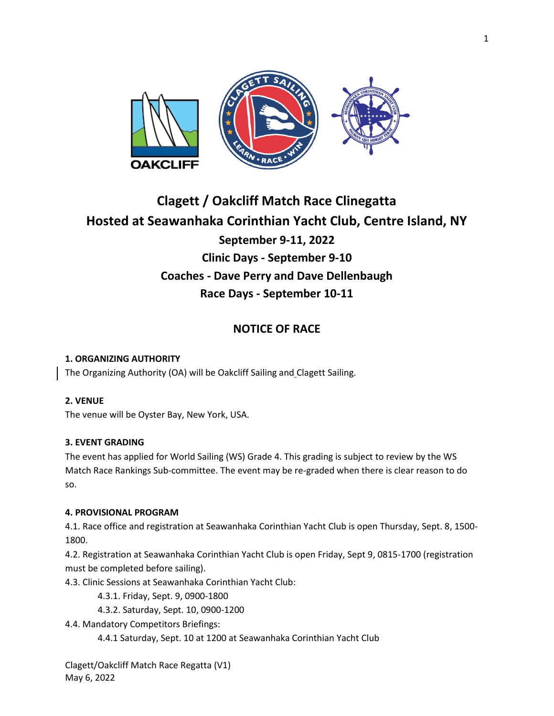

# **Clagett / Oakcliff Match Race Clinegatta Hosted at Seawanhaka Corinthian Yacht Club, Centre Island, NY September 9-11, 2022 Clinic Days - September 9-10 Coaches - Dave Perry and Dave Dellenbaugh Race Days - September 10-11**

# **NOTICE OF RACE**

## **1. ORGANIZING AUTHORITY**

The Organizing Authority (OA) will be Oakcliff Sailing and Clagett Sailing.

## **2. VENUE**

The venue will be Oyster Bay, New York, USA.

## **3. EVENT GRADING**

The event has applied for World Sailing (WS) Grade 4. This grading is subject to review by the WS Match Race Rankings Sub-committee. The event may be re-graded when there is clear reason to do so.

## **4. PROVISIONAL PROGRAM**

4.1. Race office and registration at Seawanhaka Corinthian Yacht Club is open Thursday, Sept. 8, 1500- 1800.

4.2. Registration at Seawanhaka Corinthian Yacht Club is open Friday, Sept 9, 0815-1700 (registration must be completed before sailing).

4.3. Clinic Sessions at Seawanhaka Corinthian Yacht Club:

4.3.1. Friday, Sept. 9, 0900-1800

4.3.2. Saturday, Sept. 10, 0900-1200

4.4. Mandatory Competitors Briefings:

4.4.1 Saturday, Sept. 10 at 1200 at Seawanhaka Corinthian Yacht Club

Clagett/Oakcliff Match Race Regatta (V1) May 6, 2022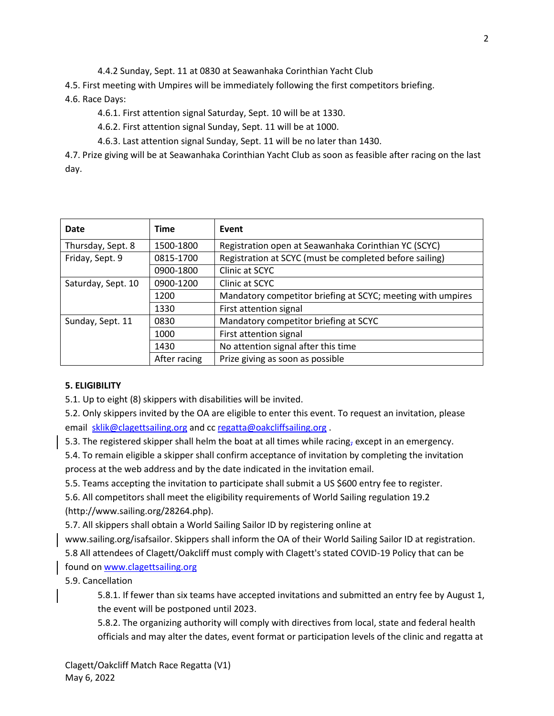4.4.2 Sunday, Sept. 11 at 0830 at Seawanhaka Corinthian Yacht Club

4.5. First meeting with Umpires will be immediately following the first competitors briefing.

# 4.6. Race Days:

4.6.1. First attention signal Saturday, Sept. 10 will be at 1330.

4.6.2. First attention signal Sunday, Sept. 11 will be at 1000.

4.6.3. Last attention signal Sunday, Sept. 11 will be no later than 1430.

4.7. Prize giving will be at Seawanhaka Corinthian Yacht Club as soon as feasible after racing on the last day.

| Date               | <b>Time</b>  | Event                                                       |
|--------------------|--------------|-------------------------------------------------------------|
| Thursday, Sept. 8  | 1500-1800    | Registration open at Seawanhaka Corinthian YC (SCYC)        |
| Friday, Sept. 9    | 0815-1700    | Registration at SCYC (must be completed before sailing)     |
|                    | 0900-1800    | Clinic at SCYC                                              |
| Saturday, Sept. 10 | 0900-1200    | Clinic at SCYC                                              |
|                    | 1200         | Mandatory competitor briefing at SCYC; meeting with umpires |
|                    | 1330         | First attention signal                                      |
| Sunday, Sept. 11   | 0830         | Mandatory competitor briefing at SCYC                       |
|                    | 1000         | First attention signal                                      |
|                    | 1430         | No attention signal after this time                         |
|                    | After racing | Prize giving as soon as possible                            |

# **5. ELIGIBILITY**

5.1. Up to eight (8) skippers with disabilities will be invited.

5.2. Only skippers invited by the OA are eligible to enter this event. To request an invitation, please email [sklik@clagettsailing.org](mailto:sklik@clagettsailing.org) and c[c regatta@oakcliffsailing.org](mailto:regatta@oakcliffsailing.org).

5.3. The registered skipper shall helm the boat at all times while racing, except in an emergency.

5.4. To remain eligible a skipper shall confirm acceptance of invitation by completing the invitation process at the web address and by the date indicated in the invitation email.

5.5. Teams accepting the invitation to participate shall submit a US \$600 entry fee to register.

5.6. All competitors shall meet the eligibility requirements of World Sailing regulation 19.2 (http://www.sailing.org/28264.php).

5.7. All skippers shall obtain a World Sailing Sailor ID by registering online at

www.sailing.org/isafsailor. Skippers shall inform the OA of their World Sailing Sailor ID at registration. 5.8 All attendees of Clagett/Oakcliff must comply with Clagett's stated COVID-19 Policy that can be found on [www.clagettsailing.org](http://www.clagettsailing.org/)

5.9. Cancellation

5.8.1. If fewer than six teams have accepted invitations and submitted an entry fee by August 1, the event will be postponed until 2023.

5.8.2. The organizing authority will comply with directives from local, state and federal health officials and may alter the dates, event format or participation levels of the clinic and regatta at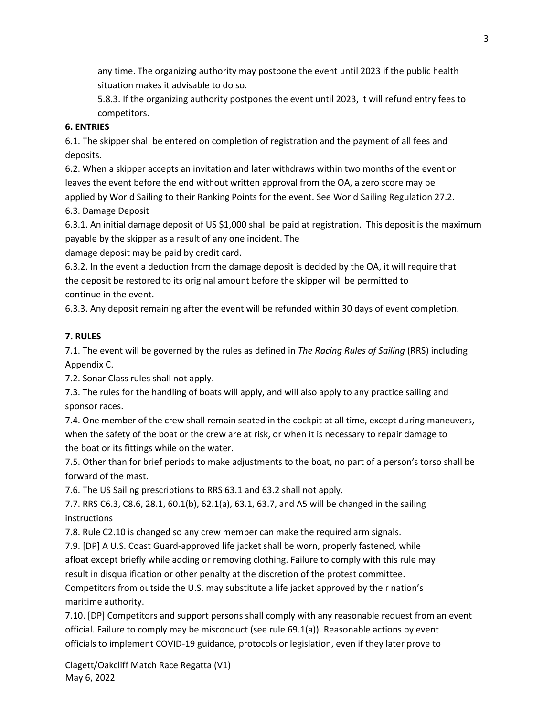any time. The organizing authority may postpone the event until 2023 if the public health situation makes it advisable to do so.

5.8.3. If the organizing authority postpones the event until 2023, it will refund entry fees to competitors.

## **6. ENTRIES**

6.1. The skipper shall be entered on completion of registration and the payment of all fees and deposits.

6.2. When a skipper accepts an invitation and later withdraws within two months of the event or leaves the event before the end without written approval from the OA, a zero score may be applied by World Sailing to their Ranking Points for the event. See World Sailing Regulation 27.2. 6.3. Damage Deposit

6.3.1. An initial damage deposit of US \$1,000 shall be paid at registration. This deposit is the maximum payable by the skipper as a result of any one incident. The

damage deposit may be paid by credit card.

6.3.2. In the event a deduction from the damage deposit is decided by the OA, it will require that the deposit be restored to its original amount before the skipper will be permitted to continue in the event.

6.3.3. Any deposit remaining after the event will be refunded within 30 days of event completion.

# **7. RULES**

7.1. The event will be governed by the rules as defined in *The Racing Rules of Sailing* (RRS) including Appendix C.

7.2. Sonar Class rules shall not apply.

7.3. The rules for the handling of boats will apply, and will also apply to any practice sailing and sponsor races.

7.4. One member of the crew shall remain seated in the cockpit at all time, except during maneuvers, when the safety of the boat or the crew are at risk, or when it is necessary to repair damage to the boat or its fittings while on the water.

7.5. Other than for brief periods to make adjustments to the boat, no part of a person's torso shall be forward of the mast.

7.6. The US Sailing prescriptions to RRS 63.1 and 63.2 shall not apply.

7.7. RRS C6.3, C8.6, 28.1, 60.1(b), 62.1(a), 63.1, 63.7, and A5 will be changed in the sailing instructions

7.8. Rule C2.10 is changed so any crew member can make the required arm signals.

7.9. [DP] A U.S. Coast Guard-approved life jacket shall be worn, properly fastened, while

afloat except briefly while adding or removing clothing. Failure to comply with this rule may

result in disqualification or other penalty at the discretion of the protest committee.

Competitors from outside the U.S. may substitute a life jacket approved by their nation's maritime authority.

7.10. [DP] Competitors and support persons shall comply with any reasonable request from an event official. Failure to comply may be misconduct (see rule 69.1(a)). Reasonable actions by event officials to implement COVID-19 guidance, protocols or legislation, even if they later prove to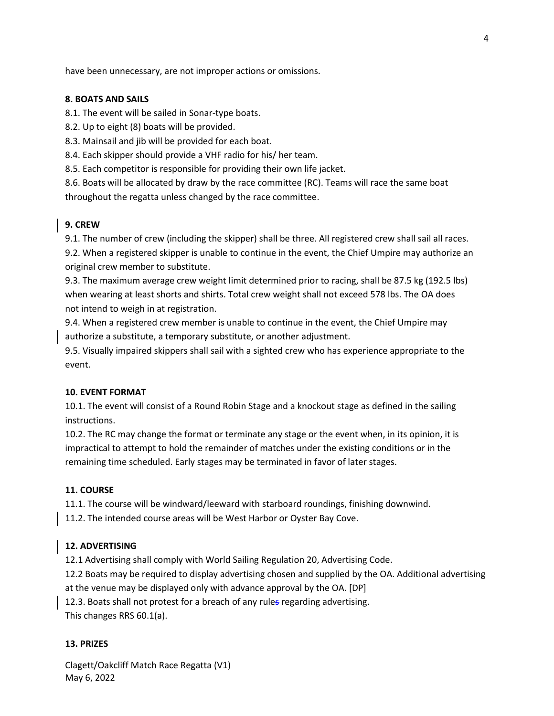have been unnecessary, are not improper actions or omissions.

### **8. BOATS AND SAILS**

8.1. The event will be sailed in Sonar-type boats.

8.2. Up to eight (8) boats will be provided.

8.3. Mainsail and jib will be provided for each boat.

8.4. Each skipper should provide a VHF radio for his/ her team.

8.5. Each competitor is responsible for providing their own life jacket.

8.6. Boats will be allocated by draw by the race committee (RC). Teams will race the same boat throughout the regatta unless changed by the race committee.

#### **9. CREW**

9.1. The number of crew (including the skipper) shall be three. All registered crew shall sail all races. 9.2. When a registered skipper is unable to continue in the event, the Chief Umpire may authorize an original crew member to substitute.

9.3. The maximum average crew weight limit determined prior to racing, shall be 87.5 kg (192.5 lbs) when wearing at least shorts and shirts. Total crew weight shall not exceed 578 lbs. The OA does not intend to weigh in at registration.

9.4. When a registered crew member is unable to continue in the event, the Chief Umpire may authorize a substitute, a temporary substitute, or another adjustment.

9.5. Visually impaired skippers shall sail with a sighted crew who has experience appropriate to the event.

#### **10. EVENT FORMAT**

10.1. The event will consist of a Round Robin Stage and a knockout stage as defined in the sailing instructions.

10.2. The RC may change the format or terminate any stage or the event when, in its opinion, it is impractical to attempt to hold the remainder of matches under the existing conditions or in the remaining time scheduled. Early stages may be terminated in favor of later stages.

#### **11. COURSE**

11.1. The course will be windward/leeward with starboard roundings, finishing downwind.

11.2. The intended course areas will be West Harbor or Oyster Bay Cove.

#### **12. ADVERTISING**

12.1 Advertising shall comply with World Sailing Regulation 20, Advertising Code.

12.2 Boats may be required to display advertising chosen and supplied by the OA. Additional advertising at the venue may be displayed only with advance approval by the OA. [DP]

12.3. Boats shall not protest for a breach of any rules regarding advertising.

This changes RRS 60.1(a).

## **13. PRIZES**

Clagett/Oakcliff Match Race Regatta (V1) May 6, 2022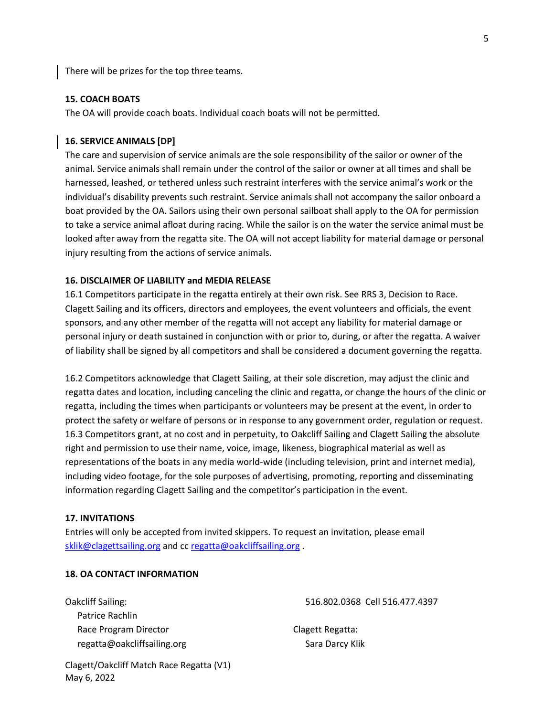There will be prizes for the top three teams.

#### **15. COACH BOATS**

The OA will provide coach boats. Individual coach boats will not be permitted.

#### **16. SERVICE ANIMALS [DP]**

The care and supervision of service animals are the sole responsibility of the sailor or owner of the animal. Service animals shall remain under the control of the sailor or owner at all times and shall be harnessed, leashed, or tethered unless such restraint interferes with the service animal's work or the individual's disability prevents such restraint. Service animals shall not accompany the sailor onboard a boat provided by the OA. Sailors using their own personal sailboat shall apply to the OA for permission to take a service animal afloat during racing. While the sailor is on the water the service animal must be looked after away from the regatta site. The OA will not accept liability for material damage or personal injury resulting from the actions of service animals.

#### **16. DISCLAIMER OF LIABILITY and MEDIA RELEASE**

16.1 Competitors participate in the regatta entirely at their own risk. See RRS 3, Decision to Race. Clagett Sailing and its officers, directors and employees, the event volunteers and officials, the event sponsors, and any other member of the regatta will not accept any liability for material damage or personal injury or death sustained in conjunction with or prior to, during, or after the regatta. A waiver of liability shall be signed by all competitors and shall be considered a document governing the regatta.

16.2 Competitors acknowledge that Clagett Sailing, at their sole discretion, may adjust the clinic and regatta dates and location, including canceling the clinic and regatta, or change the hours of the clinic or regatta, including the times when participants or volunteers may be present at the event, in order to protect the safety or welfare of persons or in response to any government order, regulation or request. 16.3 Competitors grant, at no cost and in perpetuity, to Oakcliff Sailing and Clagett Sailing the absolute right and permission to use their name, voice, image, likeness, biographical material as well as representations of the boats in any media world-wide (including television, print and internet media), including video footage, for the sole purposes of advertising, promoting, reporting and disseminating information regarding Clagett Sailing and the competitor's participation in the event.

#### **17. INVITATIONS**

May 6, 2022

Entries will only be accepted from invited skippers. To request an invitation, please email [sklik@clagettsailing.org](mailto:sklik@clagettsailing.org) and cc [regatta@oakcliffsailing.org](mailto:regatta@oakcliffsailing.org) .

#### **18. OA CONTACT INFORMATION**

Oakcliff Sailing: Patrice Rachlin Race Program Director regatta@oakcliffsailing.org 516.802.0368 Cell 516.477.4397

Clagett Regatta: Sara Darcy Klik

Clagett/Oakcliff Match Race Regatta (V1)